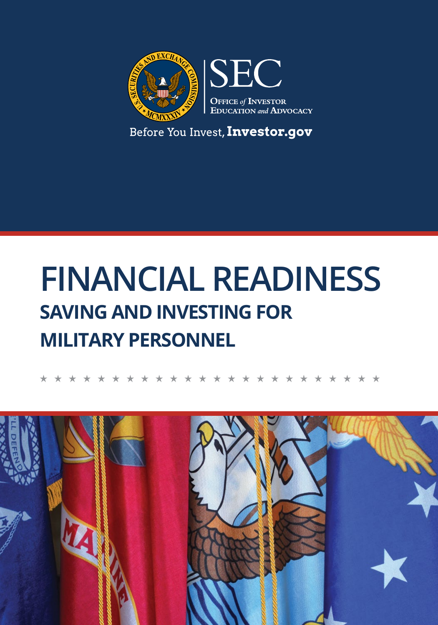

Before You Invest, Investor.gov

# **FINANCIAL READINESS SAVING AND INVESTING FOR MILITARY PERSONNEL**

\* \* \* \* \* \* \*

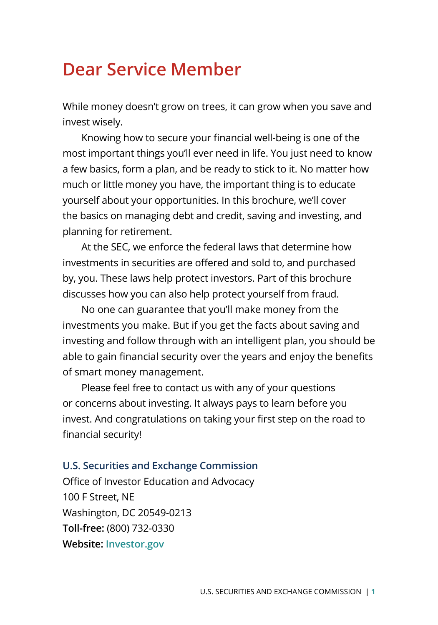## **Dear Service Member**

While money doesn't grow on trees, it can grow when you save and invest wisely.

Knowing how to secure your financial well-being is one of the most important things you'll ever need in life. You just need to know a few basics, form a plan, and be ready to stick to it. No matter how much or little money you have, the important thing is to educate yourself about your opportunities. In this brochure, we'll cover the basics on managing debt and credit, saving and investing, and planning for retirement.

At the SEC, we enforce the federal laws that determine how investments in securities are offered and sold to, and purchased by, you. These laws help protect investors. Part of this brochure discusses how you can also help protect yourself from fraud.

No one can guarantee that you'll make money from the investments you make. But if you get the facts about saving and investing and follow through with an intelligent plan, you should be able to gain financial security over the years and enjoy the benefits of smart money management.

Please feel free to contact us with any of your questions or concerns about investing. It always pays to learn before you invest. And congratulations on taking your first step on the road to financial security!

#### **U.S. Securities and Exchange Commission**

Office of Investor Education and Advocacy 100 F Street, NE Washington, DC 20549-0213 **Toll-free:** (800) 732-0330 **Website: [Investor.gov](http://www.investor.gov)**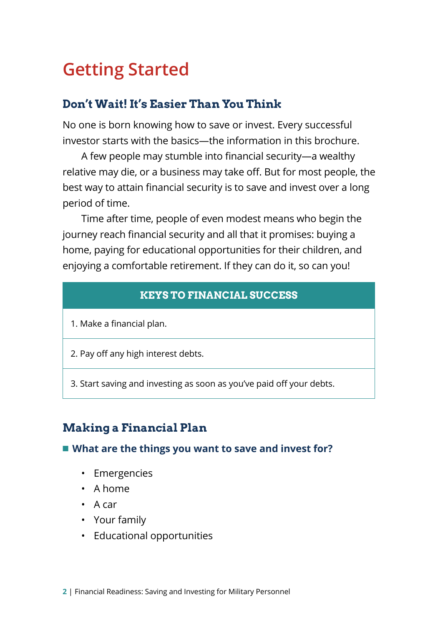## **Getting Started**

### **Don't Wait! It's Easier Than You Think**

No one is born knowing how to save or invest. Every successful investor starts with the basics—the information in this brochure.

A few people may stumble into financial security—a wealthy relative may die, or a business may take off. But for most people, the best way to attain financial security is to save and invest over a long period of time.

Time after time, people of even modest means who begin the journey reach financial security and all that it promises: buying a home, paying for educational opportunities for their children, and enjoying a comfortable retirement. If they can do it, so can you!

### **KEYS TO FINANCIAL SUCCESS**

- 1. Make a financial plan.
- 2. Pay off any high interest debts.

3. Start saving and investing as soon as you've paid off your debts.

### **Making a Financial Plan**

### ■ What are the things you want to save and invest for?

- Emergencies
- A home
- A car
- Your family
- Educational opportunities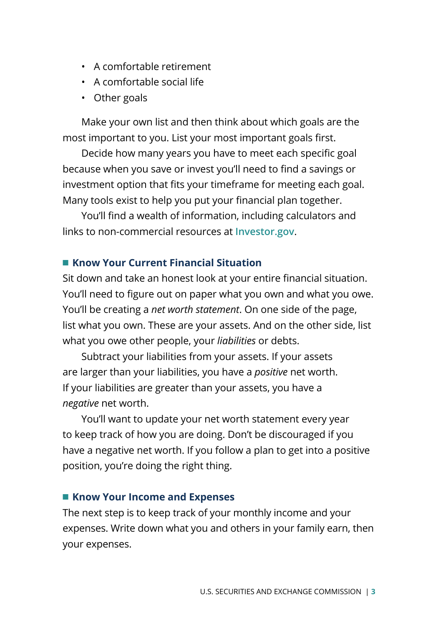- A comfortable retirement
- A comfortable social life
- Other goals

Make your own list and then think about which goals are the most important to you. List your most important goals first.

Decide how many years you have to meet each specific goal because when you save or invest you'll need to find a savings or investment option that fits your timeframe for meeting each goal. Many tools exist to help you put your financial plan together.

You'll find a wealth of information, including calculators and links to non-commercial resources at **[Investor.gov](http://www.Investor.gov)**.

### ■ **Know Your Current Financial Situation**

Sit down and take an honest look at your entire financial situation. You'll need to figure out on paper what you own and what you owe. You'll be creating a *net worth statement*. On one side of the page, list what you own. These are your assets. And on the other side, list what you owe other people, your *liabilities* or debts.

Subtract your liabilities from your assets. If your assets are larger than your liabilities, you have a *positive* net worth. If your liabilities are greater than your assets, you have a *negative* net worth.

You'll want to update your net worth statement every year to keep track of how you are doing. Don't be discouraged if you have a negative net worth. If you follow a plan to get into a positive position, you're doing the right thing.

#### ■ **Know Your Income and Expenses**

The next step is to keep track of your monthly income and your expenses. Write down what you and others in your family earn, then your expenses.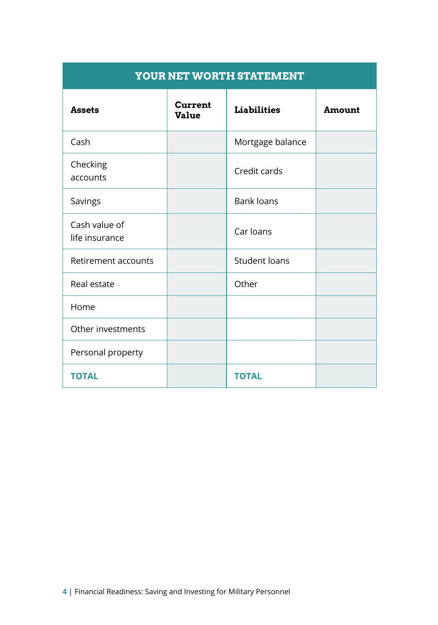| YOUR NET WORTH STATEMENT        |                         |                      |        |
|---------------------------------|-------------------------|----------------------|--------|
| <b>Assets</b>                   | Current<br><b>Value</b> | <b>Liabilities</b>   | Amount |
| Cash                            |                         | Mortgage balance     |        |
| Checking<br>accounts            |                         | Credit cards         |        |
| Savings                         |                         | <b>Bank loans</b>    |        |
| Cash value of<br>life insurance |                         | Car loans            |        |
| Retirement accounts             |                         | <b>Student loans</b> |        |
| Real estate                     |                         | Other                |        |
| Home                            |                         |                      |        |
| Other investments               |                         |                      |        |
| Personal property               |                         |                      |        |
| <b>TOTAL</b>                    |                         | <b>TOTAL</b>         |        |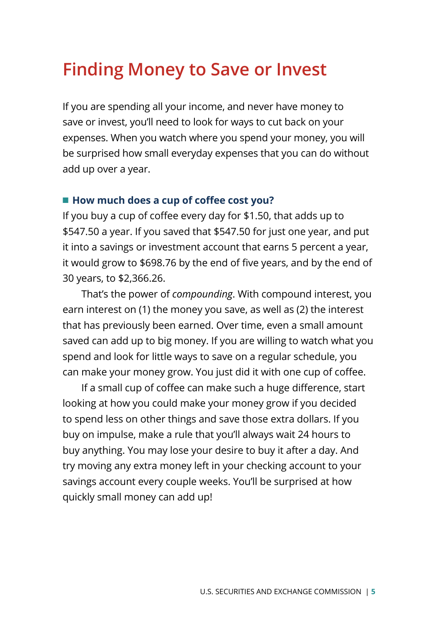## **Finding Money to Save or Invest**

If you are spending all your income, and never have money to save or invest, you'll need to look for ways to cut back on your expenses. When you watch where you spend your money, you will be surprised how small everyday expenses that you can do without add up over a year.

#### ■ **How much does a cup of coffee cost you?**

If you buy a cup of coffee every day for \$1.50, that adds up to \$547.50 a year. If you saved that \$547.50 for just one year, and put it into a savings or investment account that earns 5 percent a year, it would grow to \$698.76 by the end of five years, and by the end of 30 years, to \$2,366.26.

That's the power of *compounding*. With compound interest, you earn interest on (1) the money you save, as well as (2) the interest that has previously been earned. Over time, even a small amount saved can add up to big money. If you are willing to watch what you spend and look for little ways to save on a regular schedule, you can make your money grow. You just did it with one cup of coffee.

If a small cup of coffee can make such a huge difference, start looking at how you could make your money grow if you decided to spend less on other things and save those extra dollars. If you buy on impulse, make a rule that you'll always wait 24 hours to buy anything. You may lose your desire to buy it after a day. And try moving any extra money left in your checking account to your savings account every couple weeks. You'll be surprised at how quickly small money can add up!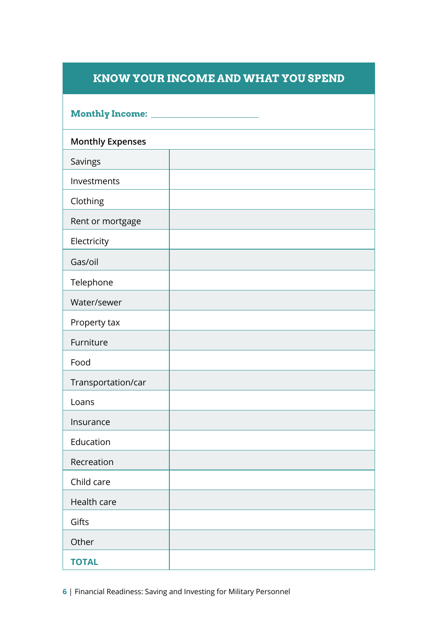### **KNOW YOUR INCOME AND WHAT YOU SPEND**

| <b>Monthly Expenses</b> |  |  |
|-------------------------|--|--|
| Savings                 |  |  |
| Investments             |  |  |
| Clothing                |  |  |
| Rent or mortgage        |  |  |
| Electricity             |  |  |
| Gas/oil                 |  |  |
| Telephone               |  |  |
| Water/sewer             |  |  |
| Property tax            |  |  |
| Furniture               |  |  |
| Food                    |  |  |
| Transportation/car      |  |  |
| Loans                   |  |  |
| Insurance               |  |  |
| Education               |  |  |
| Recreation              |  |  |
| Child care              |  |  |
| Health care             |  |  |
| Gifts                   |  |  |
| Other                   |  |  |
| <b>TOTAL</b>            |  |  |

**6** | Financial Readiness: Saving and Investing for Military Personnel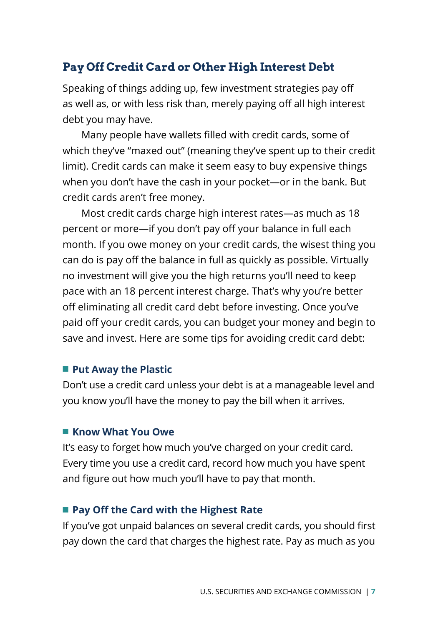### **Pay Off Credit Card or Other High Interest Debt**

Speaking of things adding up, few investment strategies pay off as well as, or with less risk than, merely paying off all high interest debt you may have.

Many people have wallets filled with credit cards, some of which they've "maxed out" (meaning they've spent up to their credit limit). Credit cards can make it seem easy to buy expensive things when you don't have the cash in your pocket—or in the bank. But credit cards aren't free money.

Most credit cards charge high interest rates—as much as 18 percent or more—if you don't pay off your balance in full each month. If you owe money on your credit cards, the wisest thing you can do is pay off the balance in full as quickly as possible. Virtually no investment will give you the high returns you'll need to keep pace with an 18 percent interest charge. That's why you're better off eliminating all credit card debt before investing. Once you've paid off your credit cards, you can budget your money and begin to save and invest. Here are some tips for avoiding credit card debt:

#### ■ **Put Away the Plastic**

Don't use a credit card unless your debt is at a manageable level and you know you'll have the money to pay the bill when it arrives.

#### ■ **Know What You Owe**

It's easy to forget how much you've charged on your credit card. Every time you use a credit card, record how much you have spent and figure out how much you'll have to pay that month.

#### ■ **Pay Off the Card with the Highest Rate**

If you've got unpaid balances on several credit cards, you should first pay down the card that charges the highest rate. Pay as much as you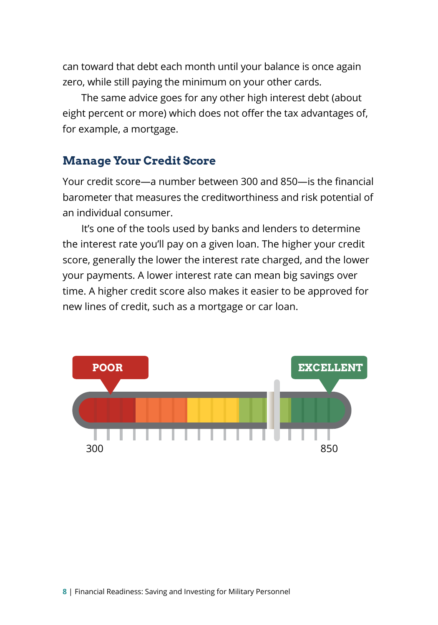can toward that debt each month until your balance is once again zero, while still paying the minimum on your other cards.

The same advice goes for any other high interest debt (about eight percent or more) which does not offer the tax advantages of, for example, a mortgage.

### **Manage Your Credit Score**

Your credit score—a number between 300 and 850—is the financial barometer that measures the creditworthiness and risk potential of an individual consumer.

It's one of the tools used by banks and lenders to determine the interest rate you'll pay on a given loan. The higher your credit score, generally the lower the interest rate charged, and the lower your payments. A lower interest rate can mean big savings over time. A higher credit score also makes it easier to be approved for new lines of credit, such as a mortgage or car loan.

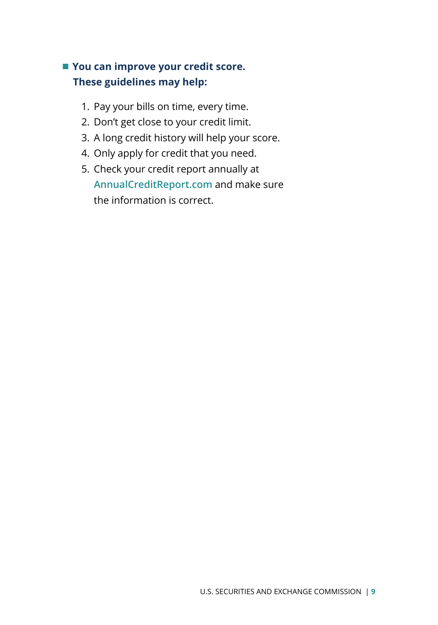### ■ **You can improve your credit score. These guidelines may help:**

- 1. Pay your bills on time, every time.
- 2. Don't get close to your credit limit.
- 3. A long credit history will help your score.
- 4. Only apply for credit that you need.
- 5. Check your credit report annually at **[AnnualCreditReport.com](http://www.AnnualCreditReport.com)** and make sure the information is correct.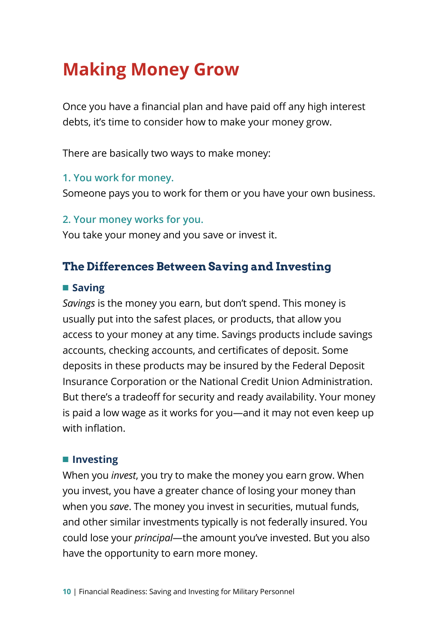## **Making Money Grow**

Once you have a financial plan and have paid off any high interest debts, it's time to consider how to make your money grow.

There are basically two ways to make money:

### **1. You work for money.**

Someone pays you to work for them or you have your own business.

### **2. Your money works for you.**

You take your money and you save or invest it.

### **The Differences Between Saving and Investing**

#### ■ Saving

*Savings* is the money you earn, but don't spend. This money is usually put into the safest places, or products, that allow you access to your money at any time. Savings products include savings accounts, checking accounts, and certificates of deposit. Some deposits in these products may be insured by the Federal Deposit Insurance Corporation or the National Credit Union Administration. But there's a tradeoff for security and ready availability. Your money is paid a low wage as it works for you—and it may not even keep up with inflation.

#### ■ **Investing**

When you *invest*, you try to make the money you earn grow. When you invest, you have a greater chance of losing your money than when you *save*. The money you invest in securities, mutual funds, and other similar investments typically is not federally insured. You could lose your *principal*—the amount you've invested. But you also have the opportunity to earn more money.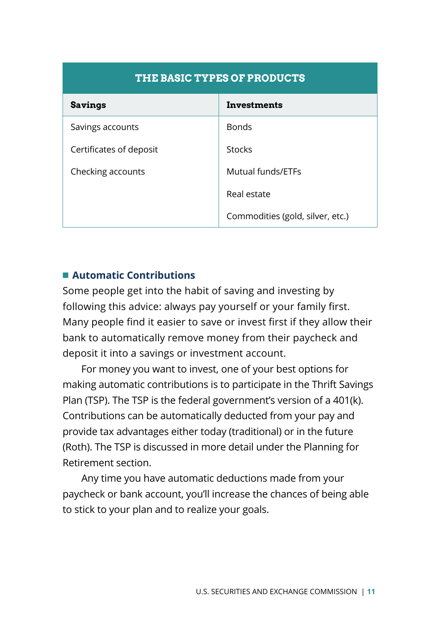| THE BASIC TYPES OF PRODUCTS |                                  |  |
|-----------------------------|----------------------------------|--|
| <b>Savings</b>              | Investments                      |  |
| Savings accounts            | <b>Bonds</b>                     |  |
| Certificates of deposit     | <b>Stocks</b>                    |  |
| Checking accounts           | <b>Mutual funds/ETFs</b>         |  |
|                             | Real estate                      |  |
|                             | Commodities (gold, silver, etc.) |  |

### ■ **Automatic Contributions**

Some people get into the habit of saving and investing by following this advice: always pay yourself or your family first. Many people find it easier to save or invest first if they allow their bank to automatically remove money from their paycheck and deposit it into a savings or investment account.

For money you want to invest, one of your best options for making automatic contributions is to participate in the Thrift Savings Plan (TSP). The TSP is the federal government's version of a 401(k). Contributions can be automatically deducted from your pay and provide tax advantages either today (traditional) or in the future (Roth). The TSP is discussed in more detail under the Planning for Retirement section.

Any time you have automatic deductions made from your paycheck or bank account, you'll increase the chances of being able to stick to your plan and to realize your goals.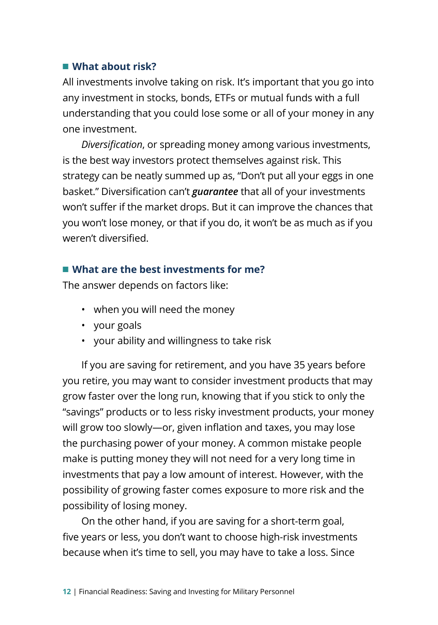### ■ What about risk?

All investments involve taking on risk. It's important that you go into any investment in stocks, bonds, ETFs or mutual funds with a full understanding that you could lose some or all of your money in any one investment.

*Diversification*, or spreading money among various investments, is the best way investors protect themselves against risk. This strategy can be neatly summed up as, "Don't put all your eggs in one basket." Diversification can't *guarantee* that all of your investments won't suffer if the market drops. But it can improve the chances that you won't lose money, or that if you do, it won't be as much as if you weren't diversified.

### ■ What are the best investments for me?

The answer depends on factors like:

- when you will need the money
- your goals
- your ability and willingness to take risk

If you are saving for retirement, and you have 35 years before you retire, you may want to consider investment products that may grow faster over the long run, knowing that if you stick to only the "savings" products or to less risky investment products, your money will grow too slowly—or, given inflation and taxes, you may lose the purchasing power of your money. A common mistake people make is putting money they will not need for a very long time in investments that pay a low amount of interest. However, with the possibility of growing faster comes exposure to more risk and the possibility of losing money.

On the other hand, if you are saving for a short-term goal, five years or less, you don't want to choose high-risk investments because when it's time to sell, you may have to take a loss. Since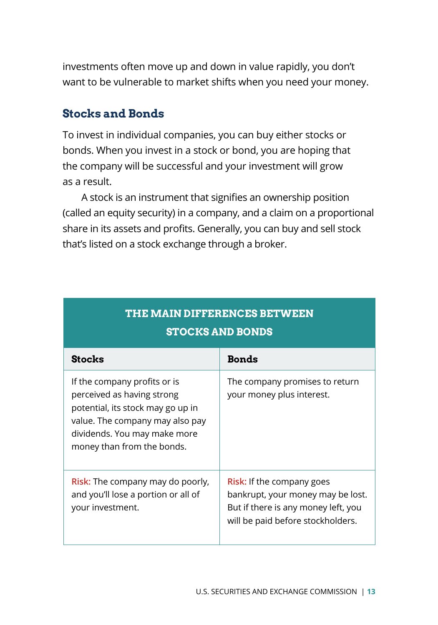investments often move up and down in value rapidly, you don't want to be vulnerable to market shifts when you need your money.

### **Stocks and Bonds**

To invest in individual companies, you can buy either stocks or bonds. When you invest in a stock or bond, you are hoping that the company will be successful and your investment will grow as a result.

A stock is an instrument that signifies an ownership position (called an equity security) in a company, and a claim on a proportional share in its assets and profits. Generally, you can buy and sell stock that's listed on a stock exchange through a broker.

| <b>STOCKS AND BONDS</b>                                                                                                                                                                          |                                                                                                                                                   |  |  |
|--------------------------------------------------------------------------------------------------------------------------------------------------------------------------------------------------|---------------------------------------------------------------------------------------------------------------------------------------------------|--|--|
| <b>Stocks</b>                                                                                                                                                                                    | <b>Bonds</b>                                                                                                                                      |  |  |
| If the company profits or is<br>perceived as having strong<br>potential, its stock may go up in<br>value. The company may also pay<br>dividends. You may make more<br>money than from the bonds. | The company promises to return<br>your money plus interest.                                                                                       |  |  |
| Risk: The company may do poorly,<br>and you'll lose a portion or all of<br>your investment.                                                                                                      | <b>Risk:</b> If the company goes<br>bankrupt, your money may be lost.<br>But if there is any money left, you<br>will be paid before stockholders. |  |  |

### **THE MAIN DIFFERENCES BETWEEN**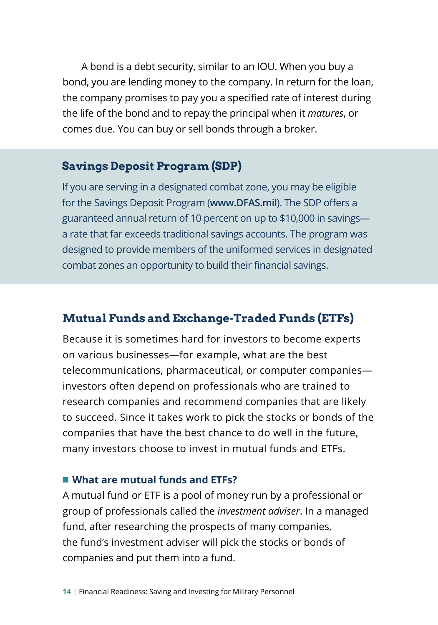A bond is a debt security, similar to an IOU. When you buy a bond, you are lending money to the company. In return for the loan, the company promises to pay you a specified rate of interest during the life of the bond and to repay the principal when it *matures*, or comes due. You can buy or sell bonds through a broker.

### **Savings Deposit Program (SDP)**

If you are serving in a designated combat zone, you may be eligible for the Savings Deposit Program (**[www.DFAS.mil](http://www.DFAS.mil)**). The SDP offers a guaranteed annual return of 10 percent on up to \$10,000 in savings a rate that far exceeds traditional savings accounts. The program was designed to provide members of the uniformed services in designated combat zones an opportunity to build their financial savings.

### **Mutual Funds and Exchange-Traded Funds (ETFs)**

Because it is sometimes hard for investors to become experts on various businesses—for example, what are the best telecommunications, pharmaceutical, or computer companies investors often depend on professionals who are trained to research companies and recommend companies that are likely to succeed. Since it takes work to pick the stocks or bonds of the companies that have the best chance to do well in the future, many investors choose to invest in mutual funds and ETFs.

### ■ What are mutual funds and ETFs?

A mutual fund or ETF is a pool of money run by a professional or group of professionals called the *investment adviser*. In a managed fund, after researching the prospects of many companies, the fund's investment adviser will pick the stocks or bonds of companies and put them into a fund.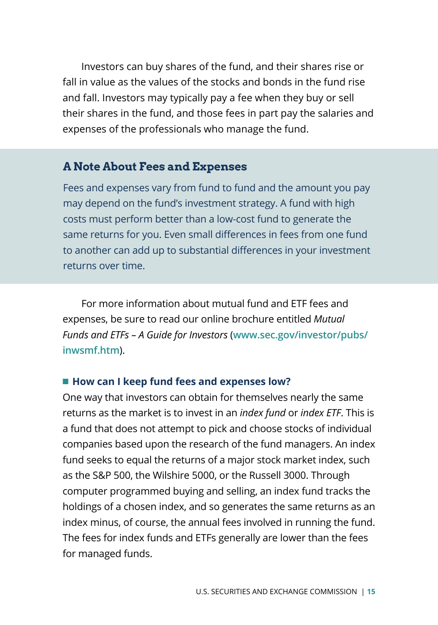Investors can buy shares of the fund, and their shares rise or fall in value as the values of the stocks and bonds in the fund rise and fall. Investors may typically pay a fee when they buy or sell their shares in the fund, and those fees in part pay the salaries and expenses of the professionals who manage the fund.

### **A Note About Fees and Expenses**

Fees and expenses vary from fund to fund and the amount you pay may depend on the fund's investment strategy. A fund with high costs must perform better than a low-cost fund to generate the same returns for you. Even small differences in fees from one fund to another can add up to substantial differences in your investment returns over time.

For more information about mutual fund and ETF fees and expenses, be sure to read our online brochure entitled *Mutual Funds and ETFs – A Guide for Investors* (**[www.sec.gov/investor/pubs/](http://www.sec.gov/investor/pubs/inwsmf.htm) [inwsmf.htm](http://www.sec.gov/investor/pubs/inwsmf.htm)**).

#### ■ **How can I keep fund fees and expenses low?**

One way that investors can obtain for themselves nearly the same returns as the market is to invest in an *index fund* or *index ETF*. This is a fund that does not attempt to pick and choose stocks of individual companies based upon the research of the fund managers. An index fund seeks to equal the returns of a major stock market index, such as the S&P 500, the Wilshire 5000, or the Russell 3000. Through computer programmed buying and selling, an index fund tracks the holdings of a chosen index, and so generates the same returns as an index minus, of course, the annual fees involved in running the fund. The fees for index funds and ETFs generally are lower than the fees for managed funds.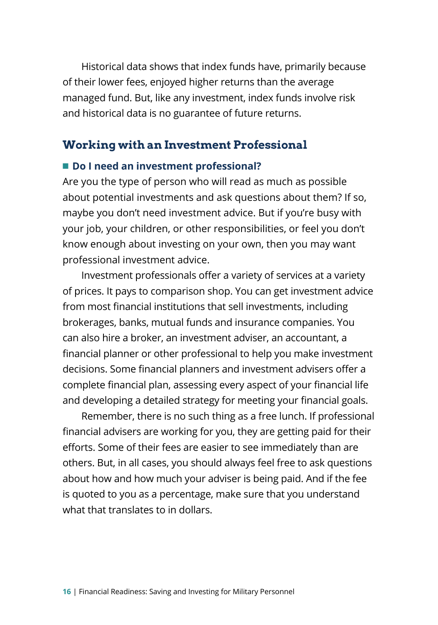Historical data shows that index funds have, primarily because of their lower fees, enjoyed higher returns than the average managed fund. But, like any investment, index funds involve risk and historical data is no guarantee of future returns.

### **Working with an Investment Professional**

### ■ **Do I need an investment professional?**

Are you the type of person who will read as much as possible about potential investments and ask questions about them? If so, maybe you don't need investment advice. But if you're busy with your job, your children, or other responsibilities, or feel you don't know enough about investing on your own, then you may want professional investment advice.

Investment professionals offer a variety of services at a variety of prices. It pays to comparison shop. You can get investment advice from most financial institutions that sell investments, including brokerages, banks, mutual funds and insurance companies. You can also hire a broker, an investment adviser, an accountant, a financial planner or other professional to help you make investment decisions. Some financial planners and investment advisers offer a complete financial plan, assessing every aspect of your financial life and developing a detailed strategy for meeting your financial goals.

Remember, there is no such thing as a free lunch. If professional financial advisers are working for you, they are getting paid for their efforts. Some of their fees are easier to see immediately than are others. But, in all cases, you should always feel free to ask questions about how and how much your adviser is being paid. And if the fee is quoted to you as a percentage, make sure that you understand what that translates to in dollars.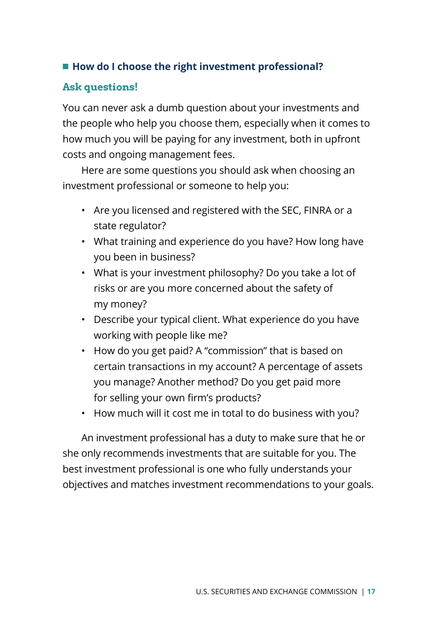### ■ **How do I choose the right investment professional?**

### **Ask questions!**

You can never ask a dumb question about your investments and the people who help you choose them, especially when it comes to how much you will be paying for any investment, both in upfront costs and ongoing management fees.

Here are some questions you should ask when choosing an investment professional or someone to help you:

- Are you licensed and registered with the SEC, FINRA or a state regulator?
- What training and experience do you have? How long have you been in business?
- What is your investment philosophy? Do you take a lot of risks or are you more concerned about the safety of my money?
- Describe your typical client. What experience do you have working with people like me?
- How do you get paid? A "commission" that is based on certain transactions in my account? A percentage of assets you manage? Another method? Do you get paid more for selling your own firm's products?
- How much will it cost me in total to do business with you?

An investment professional has a duty to make sure that he or she only recommends investments that are suitable for you. The best investment professional is one who fully understands your objectives and matches investment recommendations to your goals.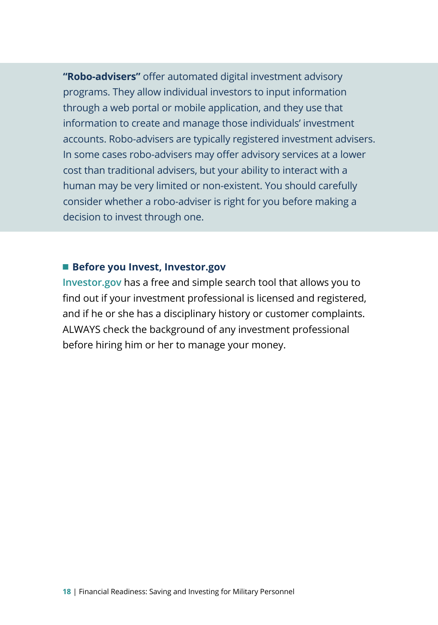**"Robo-advisers"** offer automated digital investment advisory programs. They allow individual investors to input information through a web portal or mobile application, and they use that information to create and manage those individuals' investment accounts. Robo-advisers are typically registered investment advisers. In some cases robo-advisers may offer advisory services at a lower cost than traditional advisers, but your ability to interact with a human may be very limited or non-existent. You should carefully consider whether a robo-adviser is right for you before making a decision to invest through one.

#### ■ **Before you Invest, Investor.gov**

**[Investor.gov](http://www.investor.gov)** has a free and simple search tool that allows you to find out if your investment professional is licensed and registered, and if he or she has a disciplinary history or customer complaints. ALWAYS check the background of any investment professional before hiring him or her to manage your money.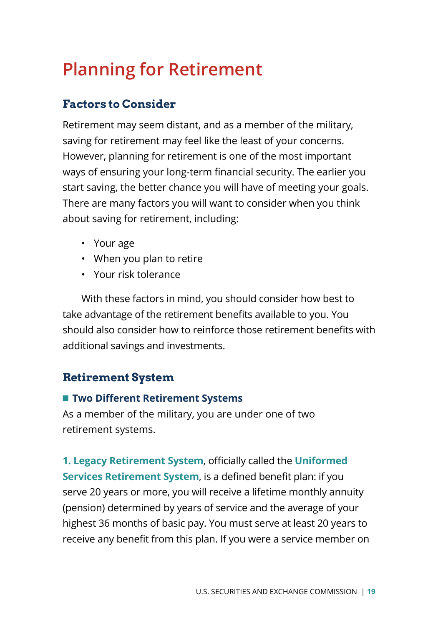## **Planning for Retirement**

### **Factors to Consider**

Retirement may seem distant, and as a member of the military, saving for retirement may feel like the least of your concerns. However, planning for retirement is one of the most important ways of ensuring your long-term financial security. The earlier you start saving, the better chance you will have of meeting your goals. There are many factors you will want to consider when you think about saving for retirement, including:

- Your age
- When you plan to retire
- Your risk tolerance

With these factors in mind, you should consider how best to take advantage of the retirement benefits available to you. You should also consider how to reinforce those retirement benefits with additional savings and investments.

### **Retirement System**

### ■ **Two Different Retirement Systems**

As a member of the military, you are under one of two retirement systems.

**1. Legacy Retirement System**, officially called the **Uniformed Services Retirement System**, is a defined benefit plan: if you serve 20 years or more, you will receive a lifetime monthly annuity (pension) determined by years of service and the average of your highest 36 months of basic pay. You must serve at least 20 years to receive any benefit from this plan. If you were a service member on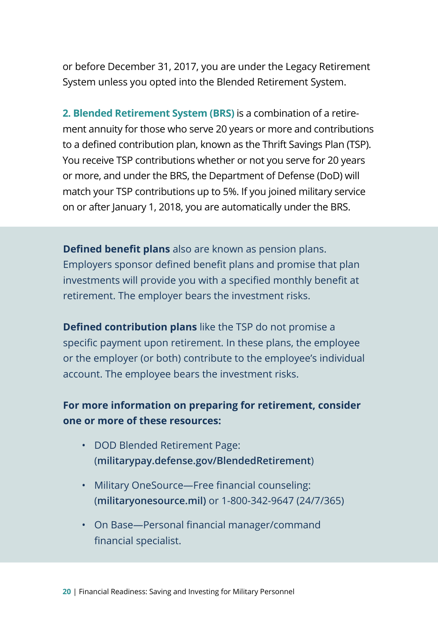or before December 31, 2017, you are under the Legacy Retirement System unless you opted into the Blended Retirement System.

**2. Blended Retirement System (BRS)** is a combination of a retirement annuity for those who serve 20 years or more and contributions to a defined contribution plan, known as the Thrift Savings Plan (TSP). You receive TSP contributions whether or not you serve for 20 years or more, and under the BRS, the Department of Defense (DoD) will match your TSP contributions up to 5%. If you joined military service on or after January 1, 2018, you are automatically under the BRS.

**Defined benefit plans** also are known as pension plans. Employers sponsor defined benefit plans and promise that plan investments will provide you with a specified monthly benefit at retirement. The employer bears the investment risks.

**Defined contribution plans** like the TSP do not promise a specific payment upon retirement. In these plans, the employee or the employer (or both) contribute to the employee's individual account. The employee bears the investment risks.

### **For more information on preparing for retirement, consider one or more of these resources:**

- DOD Blended Retirement Page: (**[militarypay.defense.gov/BlendedRetirement](http://militarypay.defense.gov/BlendedRetirement)**)
- Military OneSource—Free financial counseling: (**[militaryonesource.mil\)](http://militaryonesource.mil)** or 1-800-342-9647 (24/7/365)
- On Base—Personal financial manager/command financial specialist.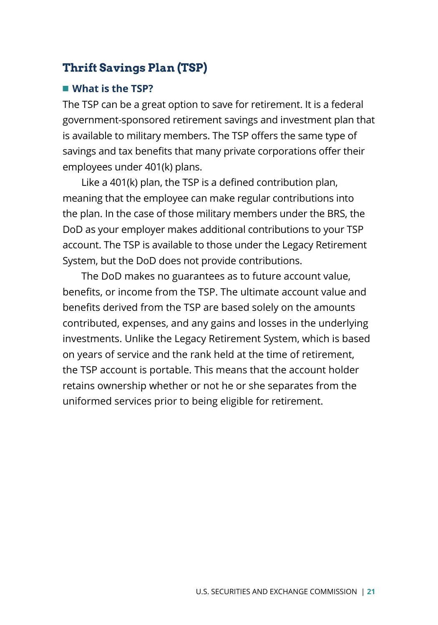### **Thrift Savings Plan (TSP)**

### ■ What is the TSP?

The TSP can be a great option to save for retirement. It is a federal government-sponsored retirement savings and investment plan that is available to military members. The TSP offers the same type of savings and tax benefits that many private corporations offer their employees under 401(k) plans.

Like a 401(k) plan, the TSP is a defined contribution plan, meaning that the employee can make regular contributions into the plan. In the case of those military members under the BRS, the DoD as your employer makes additional contributions to your TSP account. The TSP is available to those under the Legacy Retirement System, but the DoD does not provide contributions.

The DoD makes no guarantees as to future account value, benefits, or income from the TSP. The ultimate account value and benefits derived from the TSP are based solely on the amounts contributed, expenses, and any gains and losses in the underlying investments. Unlike the Legacy Retirement System, which is based on years of service and the rank held at the time of retirement, the TSP account is portable. This means that the account holder retains ownership whether or not he or she separates from the uniformed services prior to being eligible for retirement.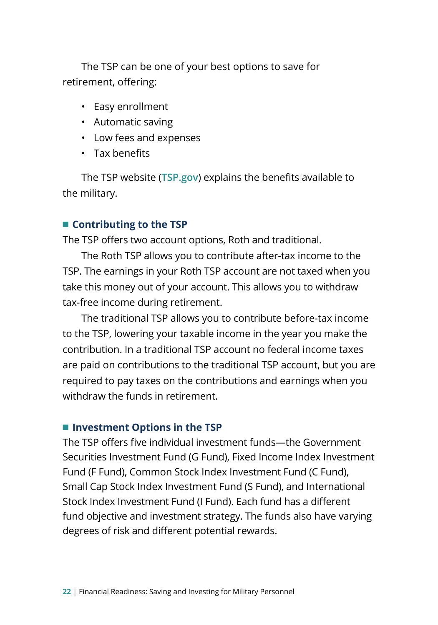The TSP can be one of your best options to save for retirement, offering:

- Easy enrollment
- Automatic saving
- Low fees and expenses
- Tax benefits

The TSP website (**[TSP.gov](http://TSP.gov)**) explains the benefits available to the military.

#### ■ **Contributing to the TSP**

The TSP offers two account options, Roth and traditional.

The Roth TSP allows you to contribute after-tax income to the TSP. The earnings in your Roth TSP account are not taxed when you take this money out of your account. This allows you to withdraw tax-free income during retirement.

The traditional TSP allows you to contribute before-tax income to the TSP, lowering your taxable income in the year you make the contribution. In a traditional TSP account no federal income taxes are paid on contributions to the traditional TSP account, but you are required to pay taxes on the contributions and earnings when you withdraw the funds in retirement.

#### ■ **Investment Options in the TSP**

The TSP offers five individual investment funds—the Government Securities Investment Fund (G Fund), Fixed Income Index Investment Fund (F Fund), Common Stock Index Investment Fund (C Fund), Small Cap Stock Index Investment Fund (S Fund), and International Stock Index Investment Fund (I Fund). Each fund has a different fund objective and investment strategy. The funds also have varying degrees of risk and different potential rewards.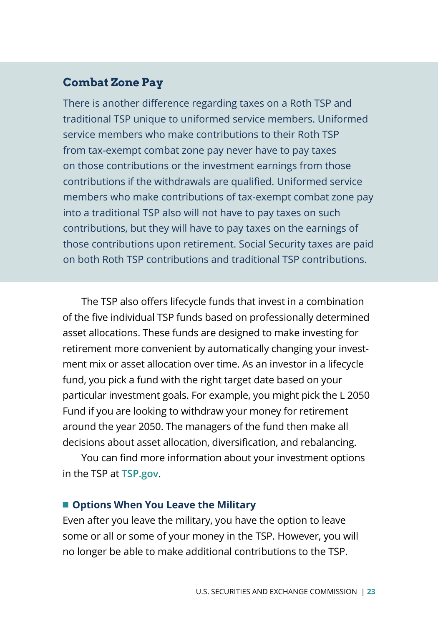### **Combat Zone Pay**

There is another difference regarding taxes on a Roth TSP and traditional TSP unique to uniformed service members. Uniformed service members who make contributions to their Roth TSP from tax-exempt combat zone pay never have to pay taxes on those contributions or the investment earnings from those contributions if the withdrawals are qualified. Uniformed service members who make contributions of tax-exempt combat zone pay into a traditional TSP also will not have to pay taxes on such contributions, but they will have to pay taxes on the earnings of those contributions upon retirement. Social Security taxes are paid on both Roth TSP contributions and traditional TSP contributions.

The TSP also offers lifecycle funds that invest in a combination of the five individual TSP funds based on professionally determined asset allocations. These funds are designed to make investing for retirement more convenient by automatically changing your investment mix or asset allocation over time. As an investor in a lifecycle fund, you pick a fund with the right target date based on your particular investment goals. For example, you might pick the L 2050 Fund if you are looking to withdraw your money for retirement around the year 2050. The managers of the fund then make all decisions about asset allocation, diversification, and rebalancing.

You can find more information about your investment options in the TSP at **[TSP.gov](http://TSP.gov)**.

#### ■ **Options When You Leave the Military**

Even after you leave the military, you have the option to leave some or all or some of your money in the TSP. However, you will no longer be able to make additional contributions to the TSP.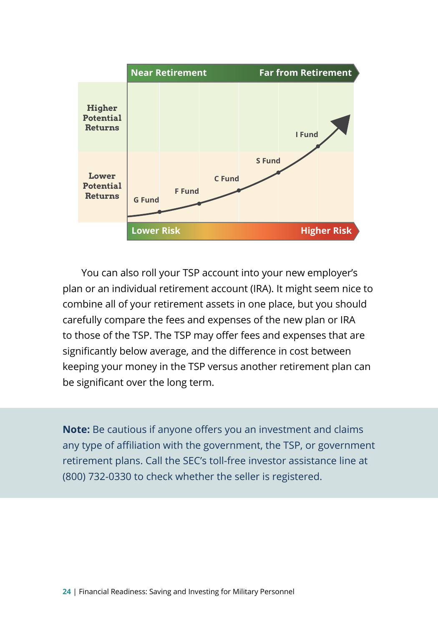

You can also roll your TSP account into your new employer's plan or an individual retirement account (IRA). It might seem nice to combine all of your retirement assets in one place, but you should carefully compare the fees and expenses of the new plan or IRA to those of the TSP. The TSP may offer fees and expenses that are significantly below average, and the difference in cost between keeping your money in the TSP versus another retirement plan can be significant over the long term.

**Note:** Be cautious if anyone offers you an investment and claims any type of affiliation with the government, the TSP, or government retirement plans. Call the SEC's toll-free investor assistance line at (800) 732-0330 to check whether the seller is registered.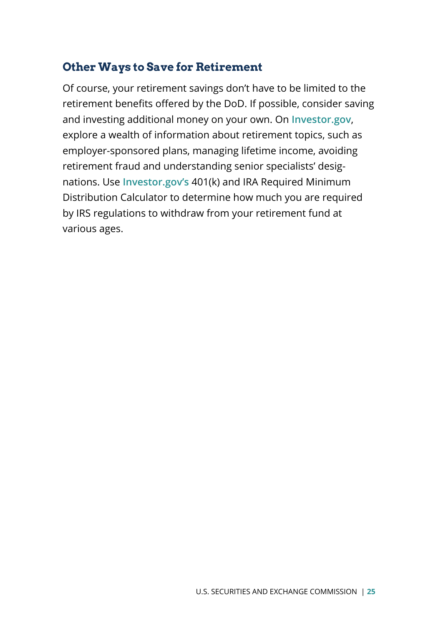### **Other Ways to Save for Retirement**

Of course, your retirement savings don't have to be limited to the retirement benefits offered by the DoD. If possible, consider saving and investing additional money on your own. On **[Investor.gov](http://www.investor.gov)**, explore a wealth of information about retirement topics, such as employer-sponsored plans, managing lifetime income, avoiding retirement fraud and understanding senior specialists' designations. Use **[Investor.gov'](https://www.investor.gov/tools/other-resources)s** 401(k) and IRA Required Minimum Distribution Calculator to determine how much you are required by IRS regulations to withdraw from your retirement fund at various ages.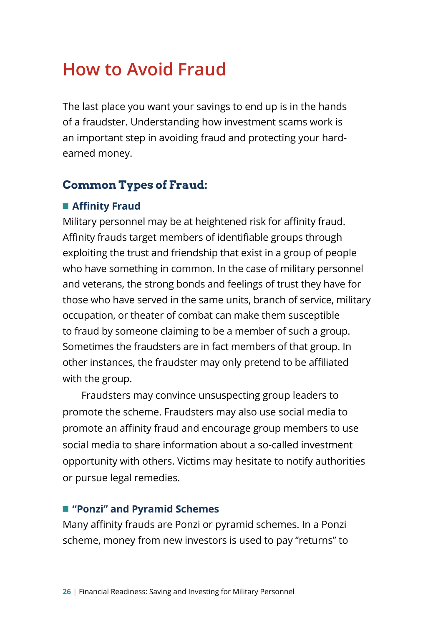## **How to Avoid Fraud**

The last place you want your savings to end up is in the hands of a fraudster. Understanding how investment scams work is an important step in avoiding fraud and protecting your hardearned money.

### **Common Types of Fraud:**

#### ■ **Affinity Fraud**

Military personnel may be at heightened risk for affinity fraud. Affinity frauds target members of identifiable groups through exploiting the trust and friendship that exist in a group of people who have something in common. In the case of military personnel and veterans, the strong bonds and feelings of trust they have for those who have served in the same units, branch of service, military occupation, or theater of combat can make them susceptible to fraud by someone claiming to be a member of such a group. Sometimes the fraudsters are in fact members of that group. In other instances, the fraudster may only pretend to be affiliated with the group.

Fraudsters may convince unsuspecting group leaders to promote the scheme. Fraudsters may also use social media to promote an affinity fraud and encourage group members to use social media to share information about a so-called investment opportunity with others. Victims may hesitate to notify authorities or pursue legal remedies.

#### ■ **"Ponzi" and Pyramid Schemes**

Many affinity frauds are Ponzi or pyramid schemes. In a Ponzi scheme, money from new investors is used to pay "returns" to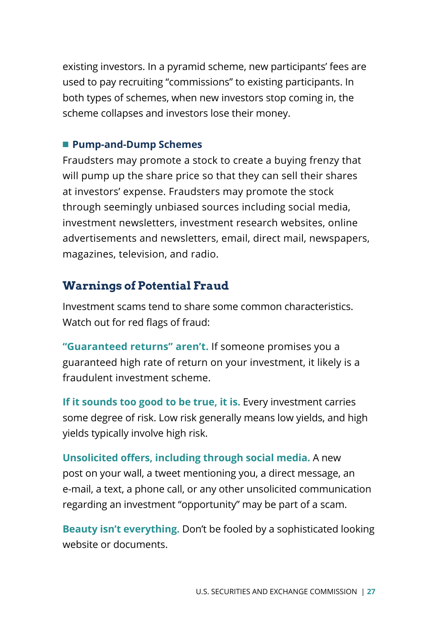existing investors. In a pyramid scheme, new participants' fees are used to pay recruiting "commissions" to existing participants. In both types of schemes, when new investors stop coming in, the scheme collapses and investors lose their money.

### ■ **Pump-and-Dump Schemes**

Fraudsters may promote a stock to create a buying frenzy that will pump up the share price so that they can sell their shares at investors' expense. Fraudsters may promote the stock through seemingly unbiased sources including social media, investment newsletters, investment research websites, online advertisements and newsletters, email, direct mail, newspapers, magazines, television, and radio.

### **Warnings of Potential Fraud**

Investment scams tend to share some common characteristics. Watch out for red flags of fraud:

**"Guaranteed returns" aren't.** If someone promises you a guaranteed high rate of return on your investment, it likely is a fraudulent investment scheme.

**If it sounds too good to be true, it is.** Every investment carries some degree of risk. Low risk generally means low yields, and high yields typically involve high risk.

**Unsolicited offers, including through social media.** A new post on your wall, a tweet mentioning you, a direct message, an e-mail, a text, a phone call, or any other unsolicited communication regarding an investment "opportunity" may be part of a scam.

**Beauty isn't everything.** Don't be fooled by a sophisticated looking website or documents.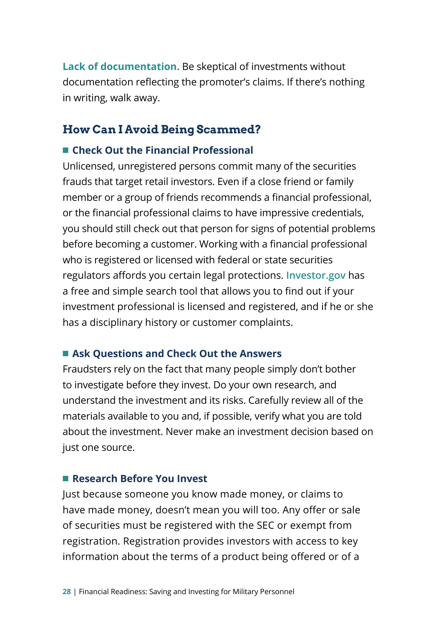**Lack of documentation.** Be skeptical of investments without documentation reflecting the promoter's claims. If there's nothing in writing, walk away.

### **How Can I Avoid Being Scammed?**

### ■ **Check Out the Financial Professional**

Unlicensed, unregistered persons commit many of the securities frauds that target retail investors. Even if a close friend or family member or a group of friends recommends a financial professional, or the financial professional claims to have impressive credentials, you should still check out that person for signs of potential problems before becoming a customer. Working with a financial professional who is registered or licensed with federal or state securities regulators affords you certain legal protections. **[Investor.gov](http://www.investor.gov)** has a free and simple search tool that allows you to find out if your investment professional is licensed and registered, and if he or she has a disciplinary history or customer complaints.

### ■ **Ask Questions and Check Out the Answers**

Fraudsters rely on the fact that many people simply don't bother to investigate before they invest. Do your own research, and understand the investment and its risks. Carefully review all of the materials available to you and, if possible, verify what you are told about the investment. Never make an investment decision based on just one source.

### ■ **Research Before You Invest**

Just because someone you know made money, or claims to have made money, doesn't mean you will too. Any offer or sale of securities must be registered with the SEC or exempt from registration. Registration provides investors with access to key information about the terms of a product being offered or of a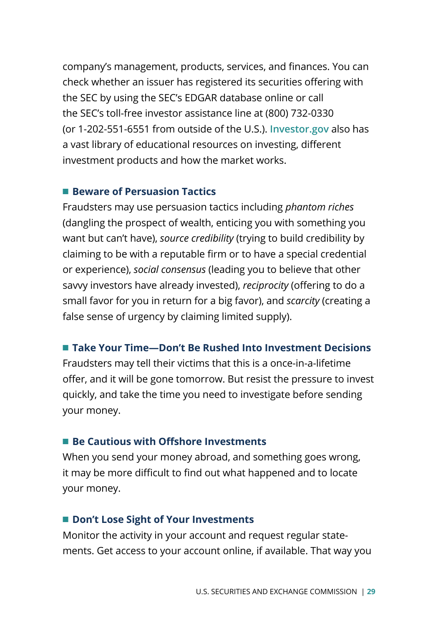company's management, products, services, and finances. You can check whether an issuer has registered its securities offering with the SEC by using the SEC's EDGAR database online or call the SEC's toll-free investor assistance line at (800) 732-0330 (or 1-202-551-6551 from outside of the U.S.). **[Investor.gov](http://www.investor.gov)** also has a vast library of educational resources on investing, different investment products and how the market works.

### ■ **Beware of Persuasion Tactics**

Fraudsters may use persuasion tactics including *phantom riches* (dangling the prospect of wealth, enticing you with something you want but can't have), *source credibility* (trying to build credibility by claiming to be with a reputable firm or to have a special credential or experience), *social consensus* (leading you to believe that other savvy investors have already invested), *reciprocity* (offering to do a small favor for you in return for a big favor), and *scarcity* (creating a false sense of urgency by claiming limited supply).

### ■ **Take Your Time—Don't Be Rushed Into Investment Decisions**

Fraudsters may tell their victims that this is a once-in-a-lifetime offer, and it will be gone tomorrow. But resist the pressure to invest quickly, and take the time you need to investigate before sending your money.

### ■ **Be Cautious with Offshore Investments**

When you send your money abroad, and something goes wrong, it may be more difficult to find out what happened and to locate your money.

### ■ **Don't Lose Sight of Your Investments**

Monitor the activity in your account and request regular statements. Get access to your account online, if available. That way you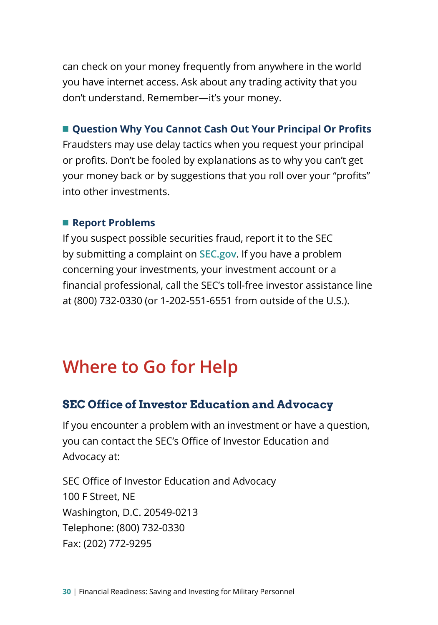can check on your money frequently from anywhere in the world you have internet access. Ask about any trading activity that you don't understand. Remember—it's your money.

### ■ **Question Why You Cannot Cash Out Your Principal Or Profits**

Fraudsters may use delay tactics when you request your principal or profits. Don't be fooled by explanations as to why you can't get your money back or by suggestions that you roll over your "profits" into other investments.

#### ■ **Report Problems**

If you suspect possible securities fraud, report it to the SEC by submitting a complaint on **[SEC.gov](https://www.sec.gov)**. If you have a problem concerning your investments, your investment account or a financial professional, call the SEC's toll-free investor assistance line at (800) 732-0330 (or 1-202-551-6551 from outside of the U.S.).

## **Where to Go for Help**

### **SEC Office of Investor Education and Advocacy**

If you encounter a problem with an investment or have a question, you can contact the SEC's Office of Investor Education and Advocacy at:

SEC Office of Investor Education and Advocacy 100 F Street, NE Washington, D.C. 20549-0213 Telephone: (800) 732-0330 Fax: (202) 772-9295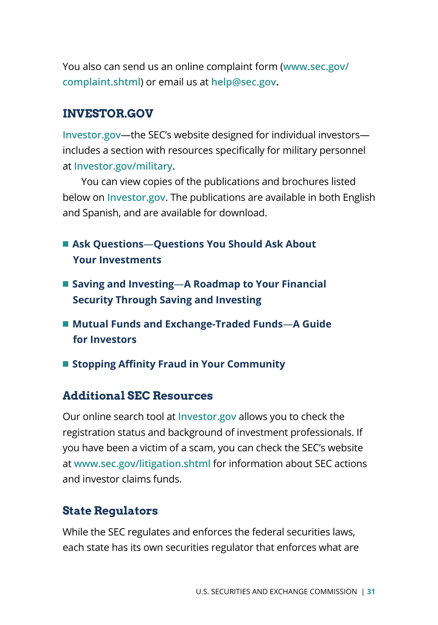You also can send us an online complaint form (**[www.sec.gov/](http://www.sec.gov/complaint.shtml) [complaint.shtml](http://www.sec.gov/complaint.shtml)**) or email us at **[help@sec.gov.](mailto:help%40sec.gov?subject=)**

### **INVESTOR.GOV**

**[Investor.gov](http://www.investor.gov)**—the SEC's website designed for individual investors includes a section with resources specifically for military personnel at **[Investor.gov/military](http://www.Investor.gov/military)**.

You can view copies of the publications and brochures listed below on **[Investor.gov](http://www.investor.gov)**. The publications are available in both English and Spanish, and are available for download.

- Ask Questions—Questions You Should Ask About  **Your Investments**
- Saving and Investing—A Roadmap to Your Financial  **Security Through Saving and Investing**
- **Mutual Funds and Exchange-Traded Funds—A Guide for Investors**
- **Stopping Affinity Fraud in Your Community**

### **Additional SEC Resources**

Our online search tool at **[Investor.gov](http://www.investor.gov)** allows you to check the registration status and background of investment professionals. If you have been a victim of a scam, you can check the SEC's website at **[www.sec.gov/litigation.shtml](http://www.sec.gov/litigation.shtml)** for information about SEC actions and investor claims funds.

### **State Regulators**

While the SEC regulates and enforces the federal securities laws, each state has its own securities regulator that enforces what are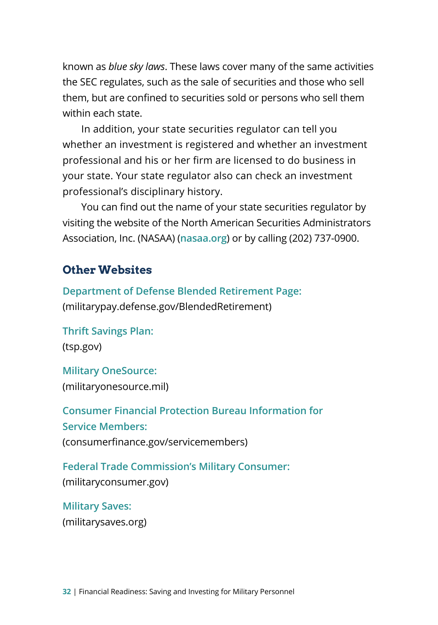known as *blue sky laws*. These laws cover many of the same activities the SEC regulates, such as the sale of securities and those who sell them, but are confined to securities sold or persons who sell them within each state.

In addition, your state securities regulator can tell you whether an investment is registered and whether an investment professional and his or her firm are licensed to do business in your state. Your state regulator also can check an investment professional's disciplinary history.

You can find out the name of your state securities regulator by visiting the website of the North American Securities Administrators Association, Inc. (NASAA) (**[nasaa.org](http://www.nasaa.org)**) or by calling (202) 737-0900.

### **Other Websites**

**Department of Defense Blended Retirement Page:**  ([militarypay.defense.gov/Blended](http://militarypay.defense.gov/BlendedRetirement)Retirement)

**Thrift Savings Plan:**  [\(tsp.gov\)](http://TSP.gov)

**Military OneSource:**  [\(militaryonesource.mil\)](http://militaryonesource.mil)

**Consumer Financial Protection Bureau Information for Service Members:**  ([consumerfinance.gov/servicemembers](http://www.consumerfinance.gov/servicemembers))

**Federal Trade Commission's Military Consumer:**  [\(militaryconsumer.gov](https://www.militaryconsumer.gov))

**Military Saves:**  [\(militarysaves.org](https://militarysaves.org))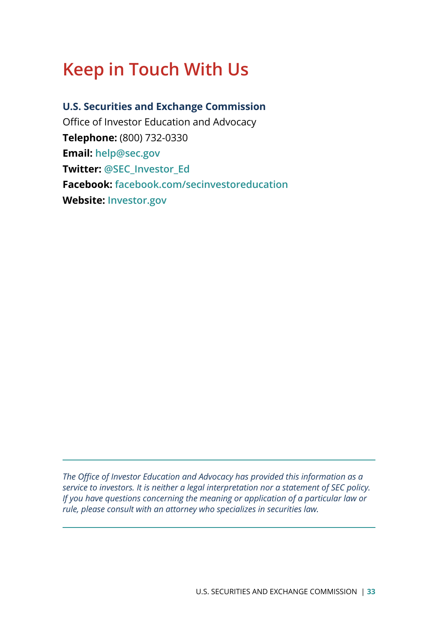## **Keep in Touch With Us**

**U.S. Securities and Exchange Commission** Office of Investor Education and Advocacy **Telephone:** (800) 732-0330 **Email: [help@sec.gov](mailto:help%40sec.gov?subject=) Twitter: [@SEC\\_Investor\\_Ed](https://twitter.com/search?q=%40SEC_Investor_Ed&src=typd) Facebook: [facebook.com/secinvestoreducation](http://www.facebook.com/secinvestoreducation) Website: [Investor.gov](http://www.Investor.gov)**

*The Office of Investor Education and Advocacy has provided this information as a service to investors. It is neither a legal interpretation nor a statement of SEC policy. If you have questions concerning the meaning or application of a particular law or rule, please consult with an attorney who specializes in securities law.*